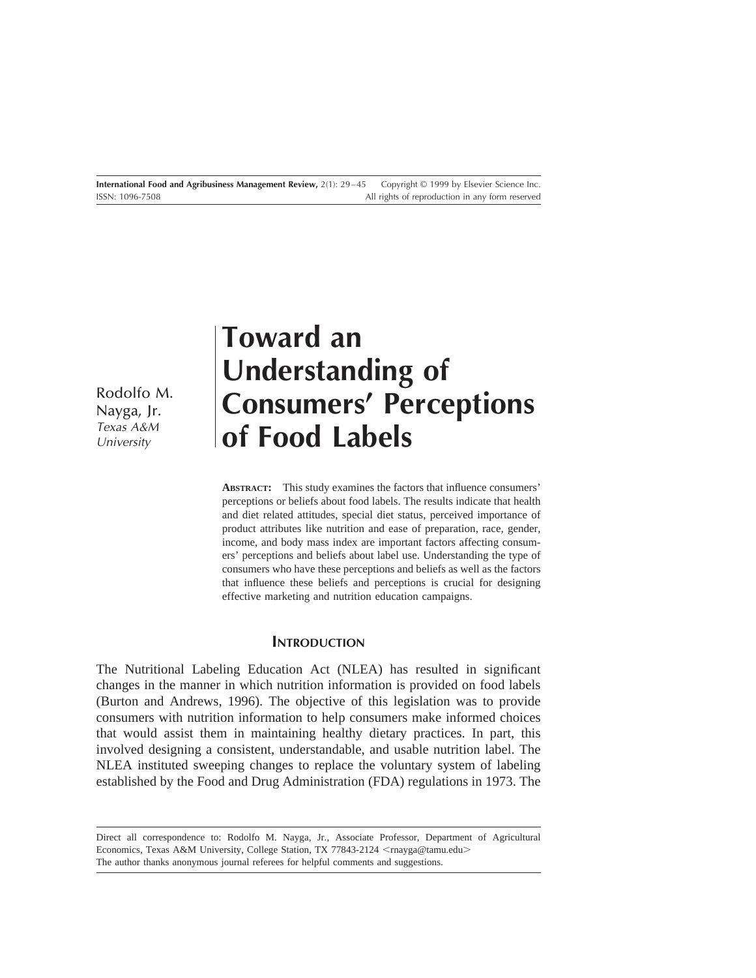Rodolfo M. Nayga, Jr. Texas A&M University

# **Toward an Understanding of Consumers' Perceptions of Food Labels**

**ABSTRACT:** This study examines the factors that influence consumers' perceptions or beliefs about food labels. The results indicate that health and diet related attitudes, special diet status, perceived importance of product attributes like nutrition and ease of preparation, race, gender, income, and body mass index are important factors affecting consumers' perceptions and beliefs about label use. Understanding the type of consumers who have these perceptions and beliefs as well as the factors that influence these beliefs and perceptions is crucial for designing effective marketing and nutrition education campaigns.

## **INTRODUCTION**

The Nutritional Labeling Education Act (NLEA) has resulted in significant changes in the manner in which nutrition information is provided on food labels (Burton and Andrews, 1996). The objective of this legislation was to provide consumers with nutrition information to help consumers make informed choices that would assist them in maintaining healthy dietary practices. In part, this involved designing a consistent, understandable, and usable nutrition label. The NLEA instituted sweeping changes to replace the voluntary system of labeling established by the Food and Drug Administration (FDA) regulations in 1973. The

Direct all correspondence to: Rodolfo M. Nayga, Jr., Associate Professor, Department of Agricultural Economics, Texas A&M University, College Station, TX 77843-2124  $\leq$ rnayga@tamu.edu $>$ The author thanks anonymous journal referees for helpful comments and suggestions.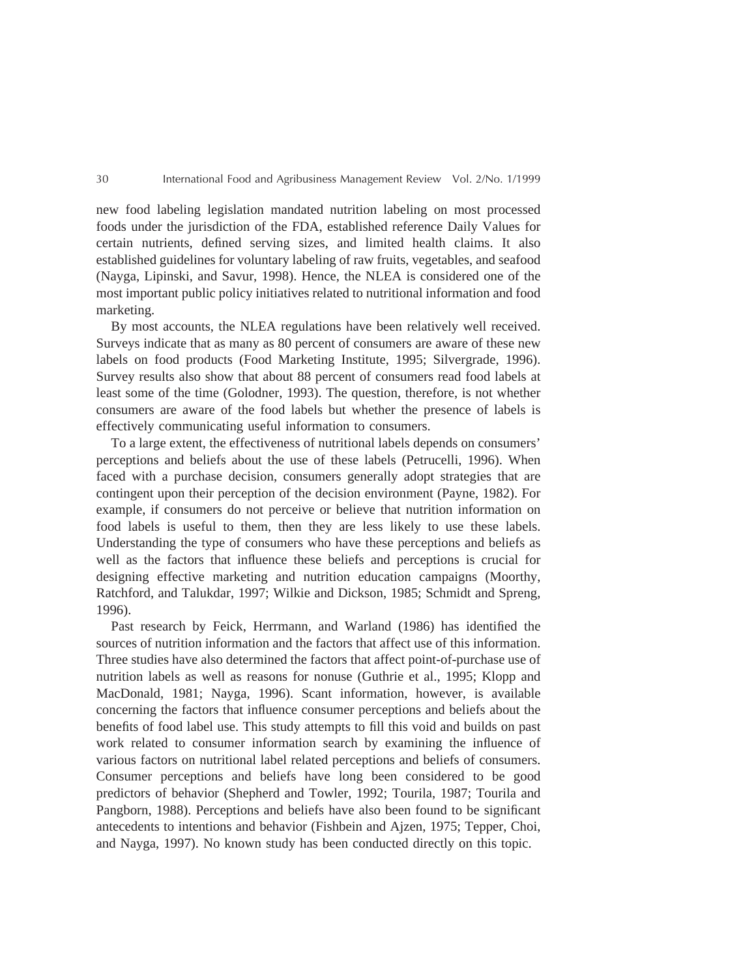new food labeling legislation mandated nutrition labeling on most processed foods under the jurisdiction of the FDA, established reference Daily Values for certain nutrients, defined serving sizes, and limited health claims. It also established guidelines for voluntary labeling of raw fruits, vegetables, and seafood (Nayga, Lipinski, and Savur, 1998). Hence, the NLEA is considered one of the most important public policy initiatives related to nutritional information and food marketing.

By most accounts, the NLEA regulations have been relatively well received. Surveys indicate that as many as 80 percent of consumers are aware of these new labels on food products (Food Marketing Institute, 1995; Silvergrade, 1996). Survey results also show that about 88 percent of consumers read food labels at least some of the time (Golodner, 1993). The question, therefore, is not whether consumers are aware of the food labels but whether the presence of labels is effectively communicating useful information to consumers.

To a large extent, the effectiveness of nutritional labels depends on consumers' perceptions and beliefs about the use of these labels (Petrucelli, 1996). When faced with a purchase decision, consumers generally adopt strategies that are contingent upon their perception of the decision environment (Payne, 1982). For example, if consumers do not perceive or believe that nutrition information on food labels is useful to them, then they are less likely to use these labels. Understanding the type of consumers who have these perceptions and beliefs as well as the factors that influence these beliefs and perceptions is crucial for designing effective marketing and nutrition education campaigns (Moorthy, Ratchford, and Talukdar, 1997; Wilkie and Dickson, 1985; Schmidt and Spreng, 1996).

Past research by Feick, Herrmann, and Warland (1986) has identified the sources of nutrition information and the factors that affect use of this information. Three studies have also determined the factors that affect point-of-purchase use of nutrition labels as well as reasons for nonuse (Guthrie et al., 1995; Klopp and MacDonald, 1981; Nayga, 1996). Scant information, however, is available concerning the factors that influence consumer perceptions and beliefs about the benefits of food label use. This study attempts to fill this void and builds on past work related to consumer information search by examining the influence of various factors on nutritional label related perceptions and beliefs of consumers. Consumer perceptions and beliefs have long been considered to be good predictors of behavior (Shepherd and Towler, 1992; Tourila, 1987; Tourila and Pangborn, 1988). Perceptions and beliefs have also been found to be significant antecedents to intentions and behavior (Fishbein and Ajzen, 1975; Tepper, Choi, and Nayga, 1997). No known study has been conducted directly on this topic.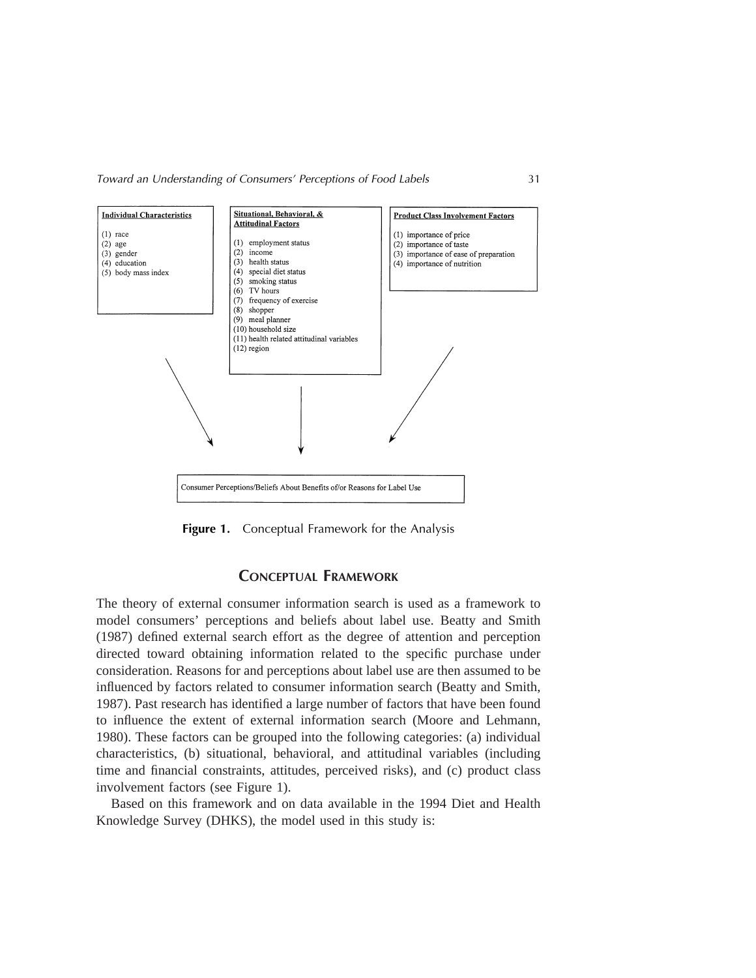

**Figure 1.** Conceptual Framework for the Analysis

# **CONCEPTUAL FRAMEWORK**

The theory of external consumer information search is used as a framework to model consumers' perceptions and beliefs about label use. Beatty and Smith (1987) defined external search effort as the degree of attention and perception directed toward obtaining information related to the specific purchase under consideration. Reasons for and perceptions about label use are then assumed to be influenced by factors related to consumer information search (Beatty and Smith, 1987). Past research has identified a large number of factors that have been found to influence the extent of external information search (Moore and Lehmann, 1980). These factors can be grouped into the following categories: (a) individual characteristics, (b) situational, behavioral, and attitudinal variables (including time and financial constraints, attitudes, perceived risks), and (c) product class involvement factors (see Figure 1).

Based on this framework and on data available in the 1994 Diet and Health Knowledge Survey (DHKS), the model used in this study is: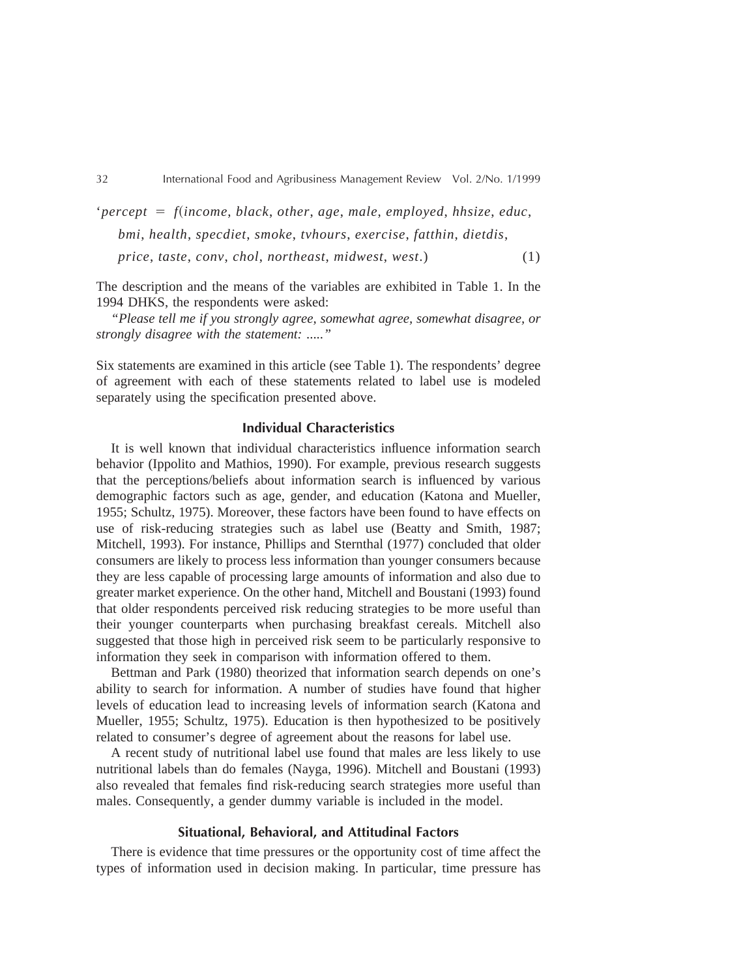*<i>percept* =  $$ *bmi*, *health*, *specdiet*, *smoke*, *tvhours*, *exercise*, *fatthin*, *dietdis*, *price*, *taste*, *conv*, *chol*, *northeast*, *midwest*, *west*.) (1)

The description and the means of the variables are exhibited in Table 1. In the 1994 DHKS, the respondents were asked:

*"Please tell me if you strongly agree, somewhat agree, somewhat disagree, or strongly disagree with the statement: ....."*

Six statements are examined in this article (see Table 1). The respondents' degree of agreement with each of these statements related to label use is modeled separately using the specification presented above.

## **Individual Characteristics**

It is well known that individual characteristics influence information search behavior (Ippolito and Mathios, 1990). For example, previous research suggests that the perceptions/beliefs about information search is influenced by various demographic factors such as age, gender, and education (Katona and Mueller, 1955; Schultz, 1975). Moreover, these factors have been found to have effects on use of risk-reducing strategies such as label use (Beatty and Smith, 1987; Mitchell, 1993). For instance, Phillips and Sternthal (1977) concluded that older consumers are likely to process less information than younger consumers because they are less capable of processing large amounts of information and also due to greater market experience. On the other hand, Mitchell and Boustani (1993) found that older respondents perceived risk reducing strategies to be more useful than their younger counterparts when purchasing breakfast cereals. Mitchell also suggested that those high in perceived risk seem to be particularly responsive to information they seek in comparison with information offered to them.

Bettman and Park (1980) theorized that information search depends on one's ability to search for information. A number of studies have found that higher levels of education lead to increasing levels of information search (Katona and Mueller, 1955; Schultz, 1975). Education is then hypothesized to be positively related to consumer's degree of agreement about the reasons for label use.

A recent study of nutritional label use found that males are less likely to use nutritional labels than do females (Nayga, 1996). Mitchell and Boustani (1993) also revealed that females find risk-reducing search strategies more useful than males. Consequently, a gender dummy variable is included in the model.

#### **Situational, Behavioral, and Attitudinal Factors**

There is evidence that time pressures or the opportunity cost of time affect the types of information used in decision making. In particular, time pressure has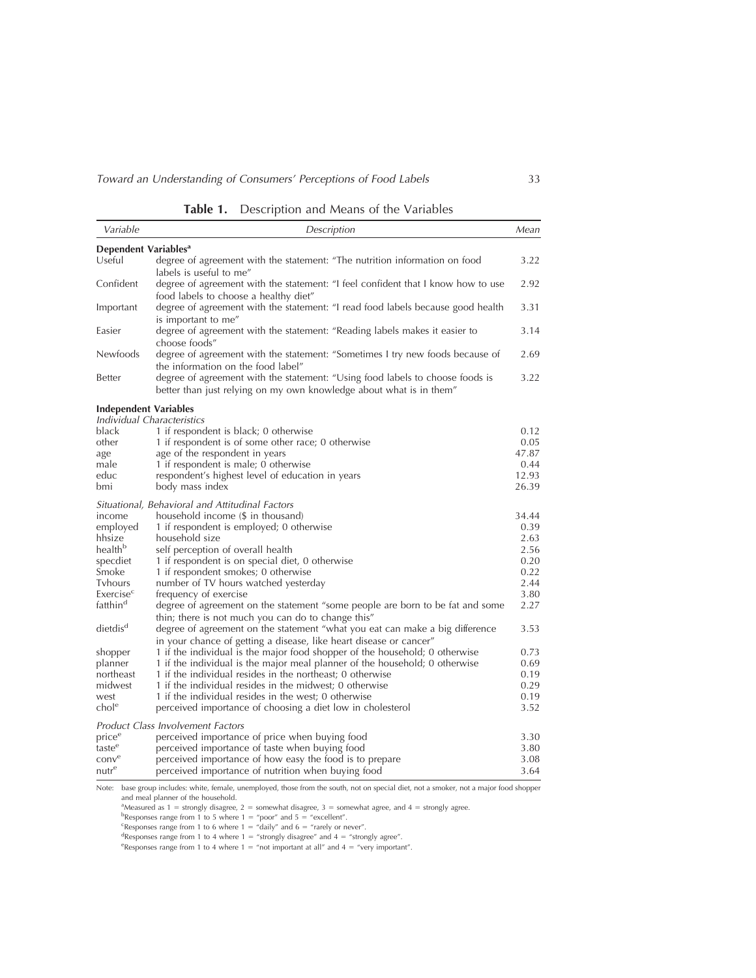| Variable                         | Description                                                                                                                                                                                | Mean         |
|----------------------------------|--------------------------------------------------------------------------------------------------------------------------------------------------------------------------------------------|--------------|
| Dependent Variables <sup>a</sup> |                                                                                                                                                                                            |              |
| Useful                           | degree of agreement with the statement: "The nutrition information on food<br>labels is useful to me"                                                                                      | 3.22         |
| Confident                        | degree of agreement with the statement: "I feel confident that I know how to use                                                                                                           | 2.92         |
| Important                        | food labels to choose a healthy diet"<br>degree of agreement with the statement: "I read food labels because good health                                                                   | 3.31         |
| Easier                           | is important to me"<br>degree of agreement with the statement: "Reading labels makes it easier to<br>choose foods"                                                                         | 3.14         |
| Newfoods                         | degree of agreement with the statement: "Sometimes I try new foods because of                                                                                                              | 2.69         |
| <b>Better</b>                    | the information on the food label"<br>degree of agreement with the statement: "Using food labels to choose foods is<br>better than just relying on my own knowledge about what is in them" | 3.22         |
| Independent Variables            |                                                                                                                                                                                            |              |
|                                  | Individual Characteristics                                                                                                                                                                 |              |
| black<br>other                   | 1 if respondent is black; 0 otherwise                                                                                                                                                      | 0.12<br>0.05 |
| age                              | 1 if respondent is of some other race; 0 otherwise<br>age of the respondent in years                                                                                                       | 47.87        |
| male                             | 1 if respondent is male; 0 otherwise                                                                                                                                                       | 0.44         |
| educ                             | respondent's highest level of education in years                                                                                                                                           | 12.93        |
| bmi                              | body mass index                                                                                                                                                                            | 26.39        |
|                                  | Situational, Behavioral and Attitudinal Factors                                                                                                                                            |              |
| income                           | household income (\$ in thousand)                                                                                                                                                          | 34.44        |
| employed                         | 1 if respondent is employed; 0 otherwise                                                                                                                                                   | 0.39         |
| hhsize                           | household size                                                                                                                                                                             | 2.63         |
| health <sup>b</sup>              | self perception of overall health                                                                                                                                                          | 2.56         |
| specdiet                         | 1 if respondent is on special diet, 0 otherwise                                                                                                                                            | 0.20         |
| Smoke                            | 1 if respondent smokes; 0 otherwise                                                                                                                                                        | 0.22         |
| Tyhours                          | number of TV hours watched yesterday                                                                                                                                                       | 2.44         |
| Exercise <sup>c</sup>            | frequency of exercise                                                                                                                                                                      | 3.80         |
| fatthin <sup>d</sup>             | degree of agreement on the statement "some people are born to be fat and some                                                                                                              | 2.27         |
| dietdis <sup>d</sup>             | thin; there is not much you can do to change this"                                                                                                                                         | 3.53         |
|                                  | degree of agreement on the statement "what you eat can make a big difference                                                                                                               |              |
|                                  | in your chance of getting a disease, like heart disease or cancer"                                                                                                                         |              |
| shopper<br>planner               | 1 if the individual is the major food shopper of the household; 0 otherwise<br>1 if the individual is the major meal planner of the household; 0 otherwise                                 | 0.73<br>0.69 |
| northeast                        | 1 if the individual resides in the northeast; 0 otherwise                                                                                                                                  | 0.19         |
| midwest                          | 1 if the individual resides in the midwest; 0 otherwise                                                                                                                                    | 0.29         |
| west                             | 1 if the individual resides in the west; 0 otherwise                                                                                                                                       | 0.19         |
| chole                            | perceived importance of choosing a diet low in cholesterol                                                                                                                                 | 3.52         |
|                                  | Product Class Involvement Factors                                                                                                                                                          |              |
| price <sup>e</sup>               | perceived importance of price when buying food                                                                                                                                             | 3.30         |
| taste <sup>e</sup>               | perceived importance of taste when buying food                                                                                                                                             | 3.80         |
| conv <sup>e</sup>                | perceived importance of how easy the food is to prepare                                                                                                                                    | 3.08         |
| nutre                            | perceived importance of nutrition when buying food                                                                                                                                         | 3.64         |
|                                  | Note: base group includes: white, female, unemployed, those from the south, not on special diet, not a smoker, not a major food shopper                                                    |              |

**Table 1.** Description and Means of the Variables

and meal planner of the household.

<sup>a</sup>Measured as 1 = strongly disagree, 2 = somewhat disagree, 3 = somewhat agree, and 4 = strongly agree.<br><sup>b</sup>Responses range from 1 to 5 where 1 = "poor" and 5 = "excellent".<br><sup>c</sup>Responses range from 1 to 6 where 1 = "daily

<sup>d</sup>Responses range from 1 to 4 where 1 = "strongly disagree" and 4 = "strongly agree".<br><sup>e</sup>Responses range from 1 to 4 where 1 = "not important at all" and 4 = "very important".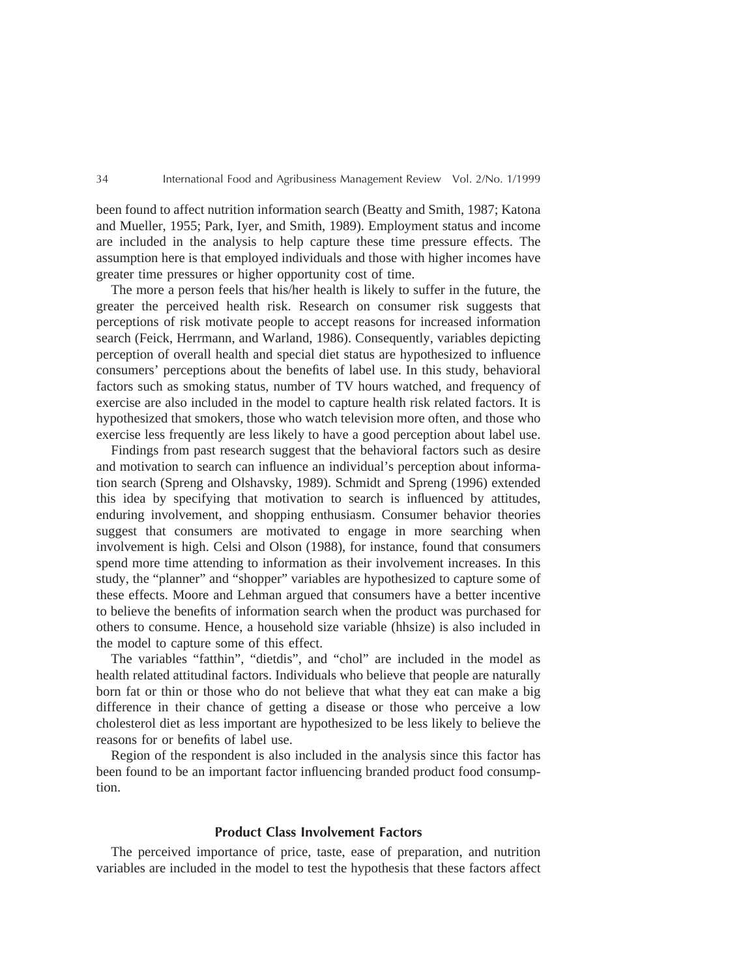been found to affect nutrition information search (Beatty and Smith, 1987; Katona and Mueller, 1955; Park, Iyer, and Smith, 1989). Employment status and income are included in the analysis to help capture these time pressure effects. The assumption here is that employed individuals and those with higher incomes have greater time pressures or higher opportunity cost of time.

The more a person feels that his/her health is likely to suffer in the future, the greater the perceived health risk. Research on consumer risk suggests that perceptions of risk motivate people to accept reasons for increased information search (Feick, Herrmann, and Warland, 1986). Consequently, variables depicting perception of overall health and special diet status are hypothesized to influence consumers' perceptions about the benefits of label use. In this study, behavioral factors such as smoking status, number of TV hours watched, and frequency of exercise are also included in the model to capture health risk related factors. It is hypothesized that smokers, those who watch television more often, and those who exercise less frequently are less likely to have a good perception about label use.

Findings from past research suggest that the behavioral factors such as desire and motivation to search can influence an individual's perception about information search (Spreng and Olshavsky, 1989). Schmidt and Spreng (1996) extended this idea by specifying that motivation to search is influenced by attitudes, enduring involvement, and shopping enthusiasm. Consumer behavior theories suggest that consumers are motivated to engage in more searching when involvement is high. Celsi and Olson (1988), for instance, found that consumers spend more time attending to information as their involvement increases. In this study, the "planner" and "shopper" variables are hypothesized to capture some of these effects. Moore and Lehman argued that consumers have a better incentive to believe the benefits of information search when the product was purchased for others to consume. Hence, a household size variable (hhsize) is also included in the model to capture some of this effect.

The variables "fatthin", "dietdis", and "chol" are included in the model as health related attitudinal factors. Individuals who believe that people are naturally born fat or thin or those who do not believe that what they eat can make a big difference in their chance of getting a disease or those who perceive a low cholesterol diet as less important are hypothesized to be less likely to believe the reasons for or benefits of label use.

Region of the respondent is also included in the analysis since this factor has been found to be an important factor influencing branded product food consumption.

## **Product Class Involvement Factors**

The perceived importance of price, taste, ease of preparation, and nutrition variables are included in the model to test the hypothesis that these factors affect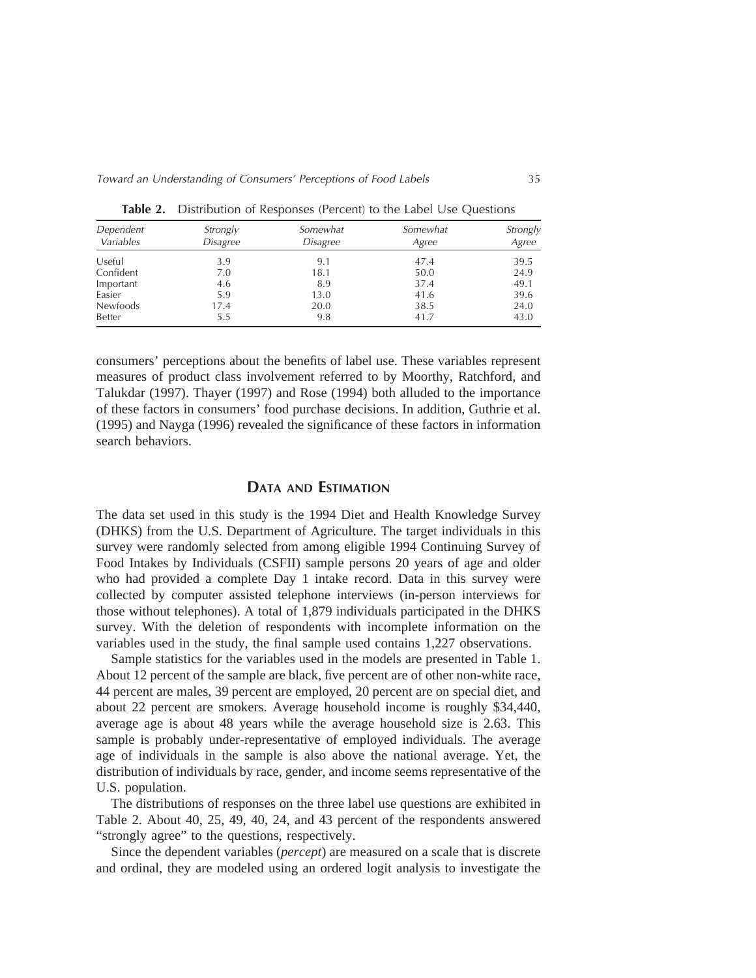| Dependent<br>Variables | Strongly<br><i>Disagree</i> | Somewhat<br><i>Disagree</i> | Somewhat<br>Agree | Strongly<br>Agree |
|------------------------|-----------------------------|-----------------------------|-------------------|-------------------|
| Useful                 | 3.9                         | 9.1                         | 47.4              | 39.5              |
| Confident              | 7.0                         | 18.1                        | 50.0              | 24.9              |
| Important              | 4.6                         | 8.9                         | 37.4              | 49.1              |
| Easier                 | 5.9                         | 13.0                        | 41.6              | 39.6              |
| <b>Newfoods</b>        | 17.4                        | 20.0                        | 38.5              | 24.0              |
| <b>Better</b>          | 5.5                         | 9.8                         | 41.7              | 43.0              |

**Table 2.** Distribution of Responses (Percent) to the Label Use Questions

consumers' perceptions about the benefits of label use. These variables represent measures of product class involvement referred to by Moorthy, Ratchford, and Talukdar (1997). Thayer (1997) and Rose (1994) both alluded to the importance of these factors in consumers' food purchase decisions. In addition, Guthrie et al. (1995) and Nayga (1996) revealed the significance of these factors in information search behaviors.

## **DATA AND ESTIMATION**

The data set used in this study is the 1994 Diet and Health Knowledge Survey (DHKS) from the U.S. Department of Agriculture. The target individuals in this survey were randomly selected from among eligible 1994 Continuing Survey of Food Intakes by Individuals (CSFII) sample persons 20 years of age and older who had provided a complete Day 1 intake record. Data in this survey were collected by computer assisted telephone interviews (in-person interviews for those without telephones). A total of 1,879 individuals participated in the DHKS survey. With the deletion of respondents with incomplete information on the variables used in the study, the final sample used contains 1,227 observations.

Sample statistics for the variables used in the models are presented in Table 1. About 12 percent of the sample are black, five percent are of other non-white race, 44 percent are males, 39 percent are employed, 20 percent are on special diet, and about 22 percent are smokers. Average household income is roughly \$34,440, average age is about 48 years while the average household size is 2.63. This sample is probably under-representative of employed individuals. The average age of individuals in the sample is also above the national average. Yet, the distribution of individuals by race, gender, and income seems representative of the U.S. population.

The distributions of responses on the three label use questions are exhibited in Table 2. About 40, 25, 49, 40, 24, and 43 percent of the respondents answered "strongly agree" to the questions, respectively.

Since the dependent variables (*percept*) are measured on a scale that is discrete and ordinal, they are modeled using an ordered logit analysis to investigate the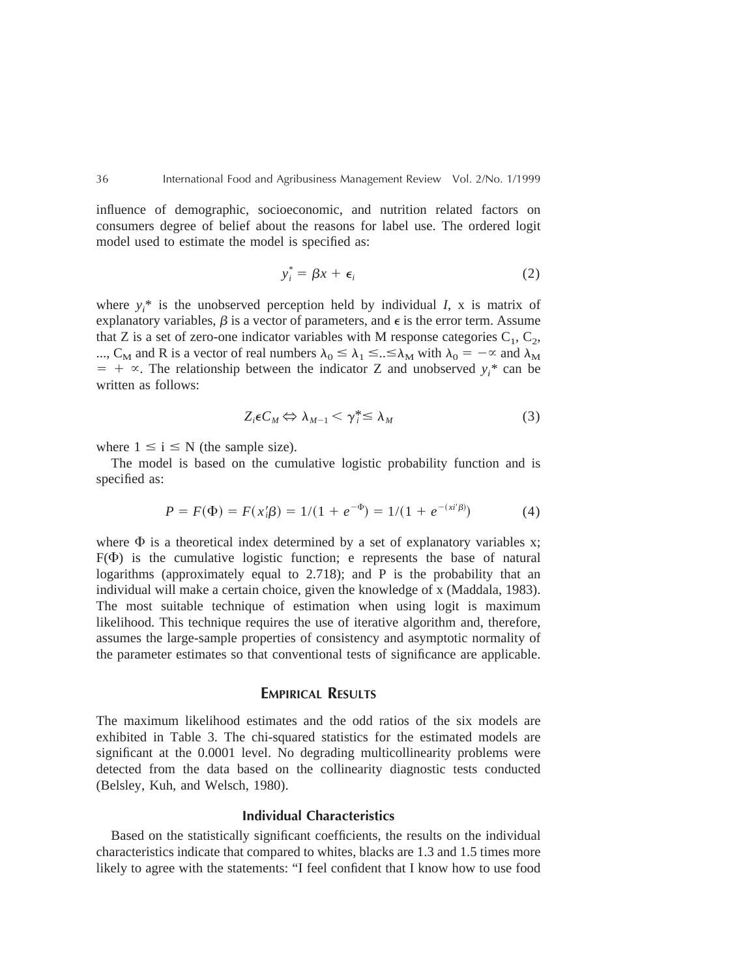influence of demographic, socioeconomic, and nutrition related factors on consumers degree of belief about the reasons for label use. The ordered logit model used to estimate the model is specified as:

$$
y_i^* = \beta x + \epsilon_i \tag{2}
$$

where  $y_i^*$  is the unobserved perception held by individual *I*, x is matrix of explanatory variables,  $\beta$  is a vector of parameters, and  $\epsilon$  is the error term. Assume that Z is a set of zero-one indicator variables with M response categories  $C_1$ ,  $C_2$ , ..., C<sub>M</sub> and R is a vector of real numbers  $\lambda_0 \leq \lambda_1 \leq ... \leq \lambda_M$  with  $\lambda_0 = -\infty$  and  $\lambda_M$  $=$  +  $\propto$ . The relationship between the indicator Z and unobserved  $y_i^*$  can be written as follows:

$$
Z_i \epsilon C_M \Leftrightarrow \lambda_{M-1} < \gamma_i^* \le \lambda_M \tag{3}
$$

where  $1 \le i \le N$  (the sample size).

The model is based on the cumulative logistic probability function and is specified as:

$$
P = F(\Phi) = F(x'_i \beta) = 1/(1 + e^{-\Phi}) = 1/(1 + e^{-(x'_i \beta)})
$$
(4)

where  $\Phi$  is a theoretical index determined by a set of explanatory variables x;  $F(\Phi)$  is the cumulative logistic function; e represents the base of natural logarithms (approximately equal to 2.718); and P is the probability that an individual will make a certain choice, given the knowledge of x (Maddala, 1983). The most suitable technique of estimation when using logit is maximum likelihood. This technique requires the use of iterative algorithm and, therefore, assumes the large-sample properties of consistency and asymptotic normality of the parameter estimates so that conventional tests of significance are applicable.

# **EMPIRICAL RESULTS**

The maximum likelihood estimates and the odd ratios of the six models are exhibited in Table 3. The chi-squared statistics for the estimated models are significant at the 0.0001 level. No degrading multicollinearity problems were detected from the data based on the collinearity diagnostic tests conducted (Belsley, Kuh, and Welsch, 1980).

### **Individual Characteristics**

Based on the statistically significant coefficients, the results on the individual characteristics indicate that compared to whites, blacks are 1.3 and 1.5 times more likely to agree with the statements: "I feel confident that I know how to use food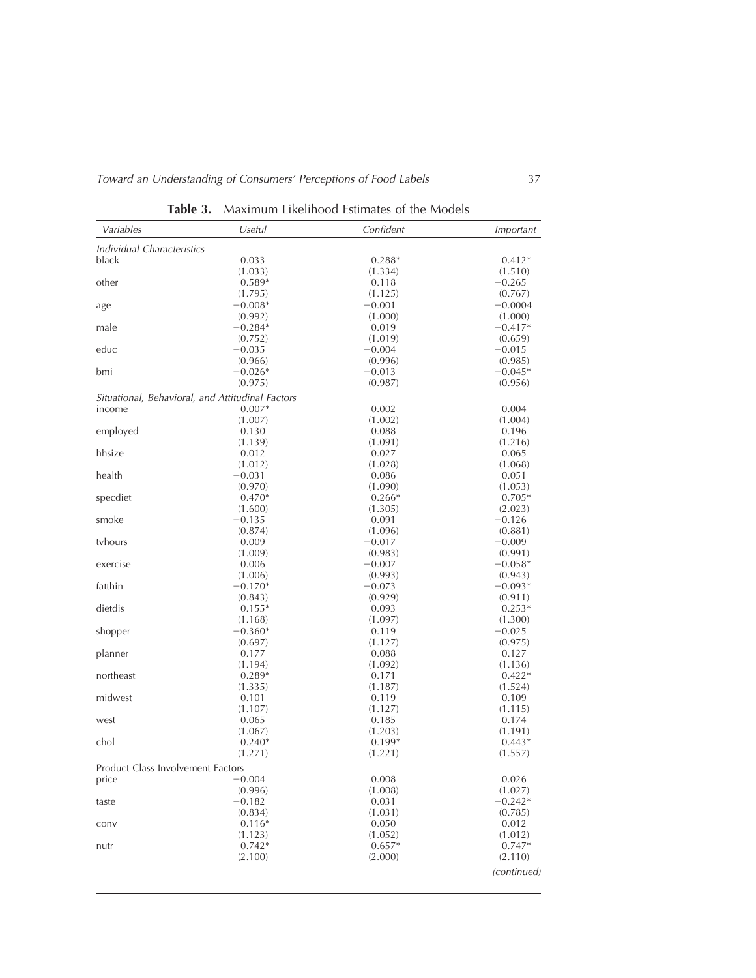| Variables                         | Useful                                           | Confident | Important           |
|-----------------------------------|--------------------------------------------------|-----------|---------------------|
| Individual Characteristics        |                                                  |           |                     |
| black                             | 0.033                                            | $0.288*$  | $0.412*$            |
|                                   | (1.033)                                          | (1.334)   | (1.510)             |
| other                             | 0.589*                                           | 0.118     | $-0.265$            |
|                                   | (1.795)                                          | (1.125)   | (0.767)             |
| age                               | $-0.008*$                                        | $-0.001$  | $-0.0004$           |
|                                   | (0.992)                                          | (1.000)   | (1.000)             |
| male                              | $-0.284*$                                        | 0.019     | $-0.417*$           |
|                                   | (0.752)                                          | (1.019)   | (0.659)             |
| educ                              | $-0.035$                                         | $-0.004$  | $-0.015$            |
|                                   | (0.966)                                          | (0.996)   | (0.985)             |
| bmi                               | $-0.026*$                                        | $-0.013$  | $-0.045*$           |
|                                   | (0.975)                                          | (0.987)   | (0.956)             |
|                                   | Situational, Behavioral, and Attitudinal Factors |           |                     |
| income                            | $0.007*$                                         | 0.002     | 0.004               |
|                                   | (1.007)                                          | (1.002)   | (1.004)             |
| employed                          | 0.130                                            | 0.088     | 0.196               |
|                                   | (1.139)                                          | (1.091)   | (1.216)             |
| hhsize                            | 0.012                                            | 0.027     | 0.065               |
|                                   | (1.012)                                          | (1.028)   | (1.068)             |
| health                            | $-0.031$                                         | 0.086     | 0.051               |
|                                   | (0.970)                                          | (1.090)   | (1.053)             |
| specdiet                          | $0.470*$                                         | $0.266*$  | $0.705*$            |
|                                   | (1.600)                                          | (1.305)   | (2.023)             |
| smoke                             | $-0.135$                                         | 0.091     | $-0.126$            |
|                                   | (0.874)                                          | (1.096)   | (0.881)             |
| tyhours                           | 0.009                                            | $-0.017$  | $-0.009$            |
|                                   | (1.009)                                          | (0.983)   | (0.991)             |
| exercise                          | 0.006                                            | $-0.007$  | $-0.058*$           |
|                                   | (1.006)                                          | (0.993)   | (0.943)             |
| fatthin                           | $-0.170*$                                        | $-0.073$  | $-0.093*$           |
|                                   | (0.843)                                          | (0.929)   | (0.911)             |
| dietdis                           | $0.155*$                                         | 0.093     | $0.253*$            |
|                                   | (1.168)                                          | (1.097)   | (1.300)             |
| shopper                           | $-0.360*$                                        | 0.119     | $-0.025$            |
|                                   | (0.697)                                          | (1.127)   | (0.975)             |
| planner                           | 0.177                                            | 0.088     | 0.127               |
|                                   | (1.194)                                          | (1.092)   | (1.136)             |
| northeast                         | $0.289*$                                         | 0.171     | $0.422*$            |
|                                   | (1.335)                                          | (1.187)   | (1.524)             |
| midwest                           | 0.101                                            | 0.119     | 0.109               |
|                                   | (1.107)                                          | (1.127)   | (1.115)             |
| west                              | 0.065                                            | 0.185     | 0.174               |
|                                   | (1.067)                                          | (1.203)   | (1.191)             |
| chol                              | $0.240*$                                         | $0.199*$  |                     |
|                                   | (1.271)                                          | (1.221)   | $0.443*$<br>(1.557) |
|                                   |                                                  |           |                     |
| Product Class Involvement Factors |                                                  |           |                     |
| price                             | $-0.004$                                         | 0.008     | 0.026               |
|                                   | (0.996)                                          | (1.008)   | (1.027)             |
| taste                             | $-0.182$                                         | 0.031     | $-0.242*$           |
|                                   | (0.834)                                          | (1.031)   | (0.785)             |
| conv                              | $0.116*$                                         | 0.050     | 0.012               |
|                                   | (1.123)                                          | (1.052)   | (1.012)             |
| nutr                              | $0.742*$                                         | $0.657*$  | $0.747*$            |
|                                   | (2.100)                                          | (2.000)   | (2.110)             |
|                                   |                                                  |           | (continued)         |
|                                   |                                                  |           |                     |

**Table 3.** Maximum Likelihood Estimates of the Models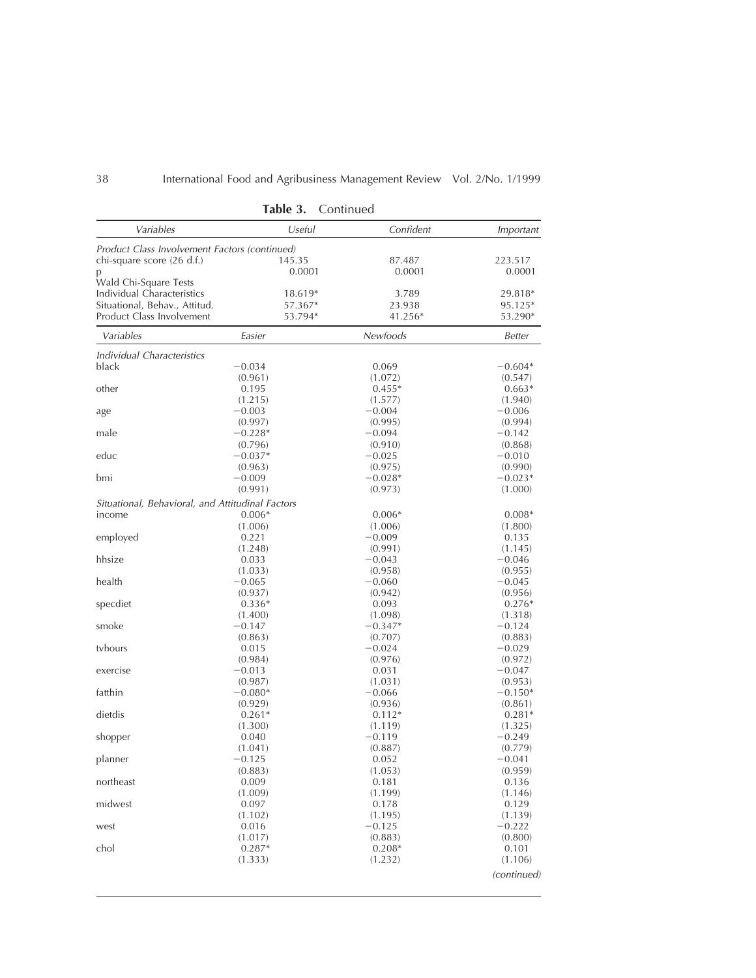| Variables                                        | Useful              | Confident        | Important           |
|--------------------------------------------------|---------------------|------------------|---------------------|
| Product Class Involvement Factors (continued)    |                     |                  |                     |
| chi-square score (26 d.f.)                       | 145.35              | 87.487           | 223.517             |
|                                                  | 0.0001              | 0.0001           | 0.0001              |
| Wald Chi-Square Tests                            |                     |                  |                     |
| Individual Characteristics                       | 18.619*             | 3.789            | 29.818*             |
| Situational, Behav., Attitud.                    | 57.367*             | 23.938           | 95.125*             |
| Product Class Involvement                        | 53.794*             | 41.256*          | 53.290*             |
| Variables                                        | Fasier              | <b>Newfoods</b>  | Better              |
| Individual Characteristics                       |                     |                  |                     |
| black                                            | $-0.034$            | 0.069            | $-0.604*$           |
|                                                  | (0.961)             | (1.072)          | (0.547)             |
| other                                            | 0.195               | $0.455*$         | $0.663*$            |
|                                                  | (1.215)             | (1.577)          | (1.940)             |
| age                                              | $-0.003$            | $-0.004$         | $-0.006$            |
|                                                  | (0.997)             | (0.995)          | (0.994)             |
| male                                             | $-0.228*$           | $-0.094$         | $-0.142$            |
|                                                  | (0.796)             | (0.910)          | (0.868)             |
| educ                                             | $-0.037*$           | $-0.025$         | $-0.010$            |
|                                                  | (0.963)             | (0.975)          | (0.990)             |
| bmi                                              | $-0.009$            | $-0.028*$        | $-0.023*$           |
|                                                  | (0.991)             | (0.973)          | (1.000)             |
| Situational, Behavioral, and Attitudinal Factors |                     |                  |                     |
| income                                           | $0.006*$            | $0.006*$         | $0.008*$            |
|                                                  | (1.006)             | (1.006)          | (1.800)             |
| employed                                         | 0.221               | $-0.009$         | 0.135               |
|                                                  | (1.248)             | (0.991)          | (1.145)             |
| hhsize                                           | 0.033               | $-0.043$         | $-0.046$            |
| health                                           | (1.033)             | (0.958)          | (0.955)             |
|                                                  | $-0.065$            | $-0.060$         | $-0.045$            |
| specdiet                                         | (0.937)<br>$0.336*$ | (0.942)<br>0.093 | (0.956)<br>$0.276*$ |
|                                                  | (1.400)             | (1.098)          | (1.318)             |
| smoke                                            | $-0.147$            | $-0.347*$        | $-0.124$            |
|                                                  | (0.863)             | (0.707)          | (0.883)             |
| tyhours                                          | 0.015               | $-0.024$         | $-0.029$            |
|                                                  | (0.984)             | (0.976)          | (0.972)             |
| exercise                                         | $-0.013$            | 0.031            | $-0.047$            |
|                                                  | (0.987)             | (1.031)          | (0.953)             |
| fatthin                                          | $-0.080*$           | $-0.066$         | $-0.150*$           |
|                                                  | (0.929)             | (0.936)          | (0.861)             |
| dietdis                                          | $0.261*$            | $0.112*$         | $0.281*$            |
|                                                  | (1.300)             | (1.119)          | (1.325)             |
| shopper                                          | 0.040               | $-0.119$         | $-0.249$            |
|                                                  | (1.041)             | (0.887)          | (0.779)             |
| planner                                          | $-0.125$            | 0.052            | $-0.041$            |
|                                                  | (0.883)             | (1.053)          | (0.959)             |
| northeast                                        | 0.009               | 0.181            | 0.136               |
|                                                  | (1.009)             | (1.199)          | (1.146)             |
| midwest                                          | 0.097               | 0.178            | 0.129               |
|                                                  | (1.102)             | (1.195)          | (1.139)             |
| west                                             | 0.016               | $-0.125$         | $-0.222$            |
|                                                  | (1.017)             | (0.883)          | (0.800)             |
| chol                                             | $0.287*$            | $0.208*$         | 0.101               |
|                                                  | (1.333)             | (1.232)          | (1.106)             |
|                                                  |                     |                  | (continued)         |
|                                                  |                     |                  |                     |

**Table 3.** Continued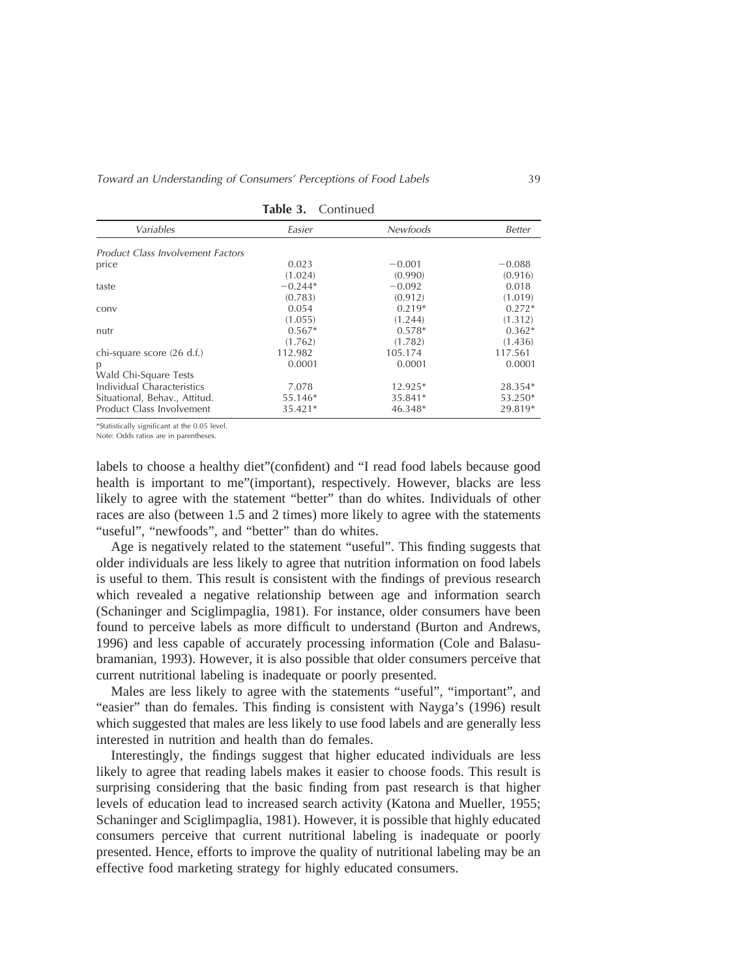| Variables                         | Easier    | <b>Newfoods</b> | Better   |
|-----------------------------------|-----------|-----------------|----------|
| Product Class Involvement Factors |           |                 |          |
| price                             | 0.023     | $-0.001$        | $-0.088$ |
|                                   | (1.024)   | (0.990)         | (0.916)  |
| taste                             | $-0.244*$ | $-0.092$        | 0.018    |
|                                   | (0.783)   | (0.912)         | (1.019)  |
| conv                              | 0.054     | $0.219*$        | $0.272*$ |
|                                   | (1.055)   | (1.244)         | (1.312)  |
| nutr                              | $0.567*$  | $0.578*$        | $0.362*$ |
|                                   | (1.762)   | (1.782)         | (1.436)  |
| chi-square score (26 d.f.)        | 112.982   | 105.174         | 117.561  |
| p                                 | 0.0001    | 0.0001          | 0.0001   |
| Wald Chi-Square Tests             |           |                 |          |
| Individual Characteristics        | 7.078     | $12.925*$       | 28.354*  |
| Situational, Behav., Attitud.     | 55.146*   | 35.841*         | 53.250*  |
| Product Class Involvement         | 35.421*   | 46.348*         | 29.819*  |

**Table 3.** Continued

\*Statistically significant at the 0.05 level.

Note: Odds ratios are in parentheses.

labels to choose a healthy diet"(confident) and "I read food labels because good health is important to me"(important), respectively. However, blacks are less likely to agree with the statement "better" than do whites. Individuals of other races are also (between 1.5 and 2 times) more likely to agree with the statements "useful", "newfoods", and "better" than do whites.

Age is negatively related to the statement "useful". This finding suggests that older individuals are less likely to agree that nutrition information on food labels is useful to them. This result is consistent with the findings of previous research which revealed a negative relationship between age and information search (Schaninger and Sciglimpaglia, 1981). For instance, older consumers have been found to perceive labels as more difficult to understand (Burton and Andrews, 1996) and less capable of accurately processing information (Cole and Balasubramanian, 1993). However, it is also possible that older consumers perceive that current nutritional labeling is inadequate or poorly presented.

Males are less likely to agree with the statements "useful", "important", and "easier" than do females. This finding is consistent with Nayga's (1996) result which suggested that males are less likely to use food labels and are generally less interested in nutrition and health than do females.

Interestingly, the findings suggest that higher educated individuals are less likely to agree that reading labels makes it easier to choose foods. This result is surprising considering that the basic finding from past research is that higher levels of education lead to increased search activity (Katona and Mueller, 1955; Schaninger and Sciglimpaglia, 1981). However, it is possible that highly educated consumers perceive that current nutritional labeling is inadequate or poorly presented. Hence, efforts to improve the quality of nutritional labeling may be an effective food marketing strategy for highly educated consumers.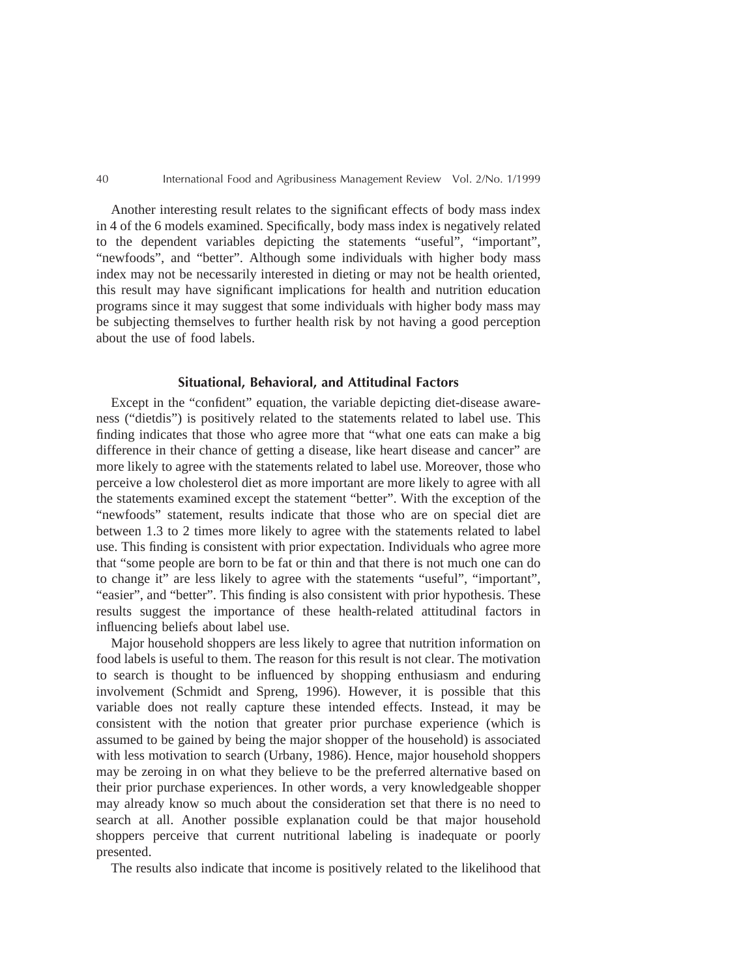Another interesting result relates to the significant effects of body mass index in 4 of the 6 models examined. Specifically, body mass index is negatively related to the dependent variables depicting the statements "useful", "important", "newfoods", and "better". Although some individuals with higher body mass index may not be necessarily interested in dieting or may not be health oriented, this result may have significant implications for health and nutrition education programs since it may suggest that some individuals with higher body mass may be subjecting themselves to further health risk by not having a good perception about the use of food labels.

### **Situational, Behavioral, and Attitudinal Factors**

Except in the "confident" equation, the variable depicting diet-disease awareness ("dietdis") is positively related to the statements related to label use. This finding indicates that those who agree more that "what one eats can make a big difference in their chance of getting a disease, like heart disease and cancer" are more likely to agree with the statements related to label use. Moreover, those who perceive a low cholesterol diet as more important are more likely to agree with all the statements examined except the statement "better". With the exception of the "newfoods" statement, results indicate that those who are on special diet are between 1.3 to 2 times more likely to agree with the statements related to label use. This finding is consistent with prior expectation. Individuals who agree more that "some people are born to be fat or thin and that there is not much one can do to change it" are less likely to agree with the statements "useful", "important", "easier", and "better". This finding is also consistent with prior hypothesis. These results suggest the importance of these health-related attitudinal factors in influencing beliefs about label use.

Major household shoppers are less likely to agree that nutrition information on food labels is useful to them. The reason for this result is not clear. The motivation to search is thought to be influenced by shopping enthusiasm and enduring involvement (Schmidt and Spreng, 1996). However, it is possible that this variable does not really capture these intended effects. Instead, it may be consistent with the notion that greater prior purchase experience (which is assumed to be gained by being the major shopper of the household) is associated with less motivation to search (Urbany, 1986). Hence, major household shoppers may be zeroing in on what they believe to be the preferred alternative based on their prior purchase experiences. In other words, a very knowledgeable shopper may already know so much about the consideration set that there is no need to search at all. Another possible explanation could be that major household shoppers perceive that current nutritional labeling is inadequate or poorly presented.

The results also indicate that income is positively related to the likelihood that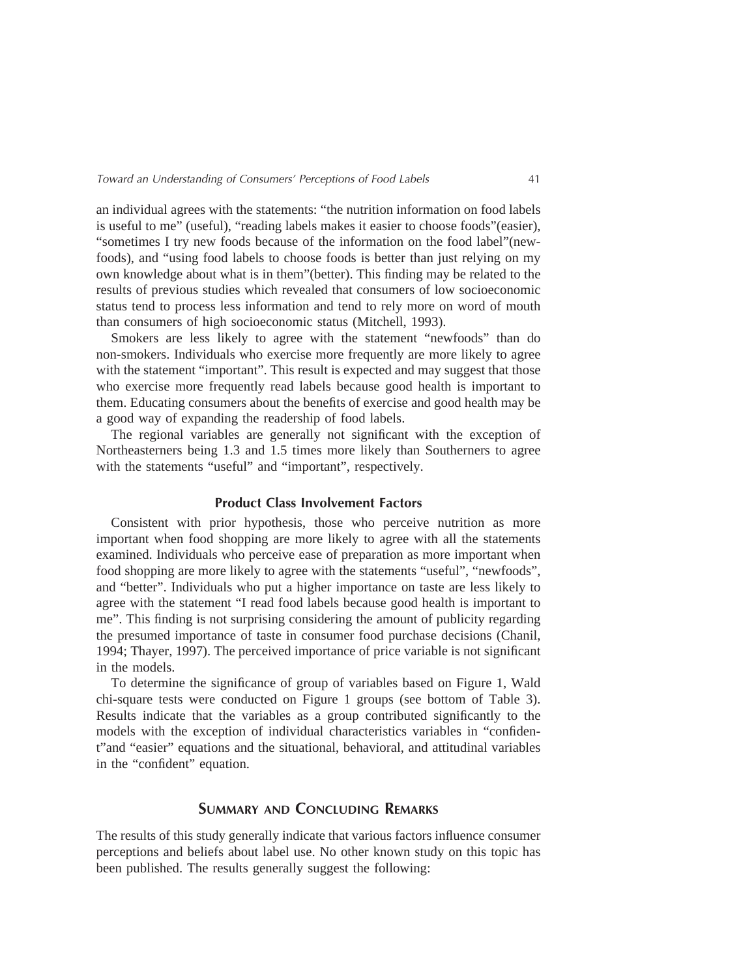an individual agrees with the statements: "the nutrition information on food labels is useful to me" (useful), "reading labels makes it easier to choose foods"(easier), "sometimes I try new foods because of the information on the food label"(newfoods), and "using food labels to choose foods is better than just relying on my own knowledge about what is in them"(better). This finding may be related to the results of previous studies which revealed that consumers of low socioeconomic status tend to process less information and tend to rely more on word of mouth than consumers of high socioeconomic status (Mitchell, 1993).

Smokers are less likely to agree with the statement "newfoods" than do non-smokers. Individuals who exercise more frequently are more likely to agree with the statement "important". This result is expected and may suggest that those who exercise more frequently read labels because good health is important to them. Educating consumers about the benefits of exercise and good health may be a good way of expanding the readership of food labels.

The regional variables are generally not significant with the exception of Northeasterners being 1.3 and 1.5 times more likely than Southerners to agree with the statements "useful" and "important", respectively.

## **Product Class Involvement Factors**

Consistent with prior hypothesis, those who perceive nutrition as more important when food shopping are more likely to agree with all the statements examined. Individuals who perceive ease of preparation as more important when food shopping are more likely to agree with the statements "useful", "newfoods", and "better". Individuals who put a higher importance on taste are less likely to agree with the statement "I read food labels because good health is important to me". This finding is not surprising considering the amount of publicity regarding the presumed importance of taste in consumer food purchase decisions (Chanil, 1994; Thayer, 1997). The perceived importance of price variable is not significant in the models.

To determine the significance of group of variables based on Figure 1, Wald chi-square tests were conducted on Figure 1 groups (see bottom of Table 3). Results indicate that the variables as a group contributed significantly to the models with the exception of individual characteristics variables in "confident"and "easier" equations and the situational, behavioral, and attitudinal variables in the "confident" equation.

# **SUMMARY AND CONCLUDING REMARKS**

The results of this study generally indicate that various factors influence consumer perceptions and beliefs about label use. No other known study on this topic has been published. The results generally suggest the following: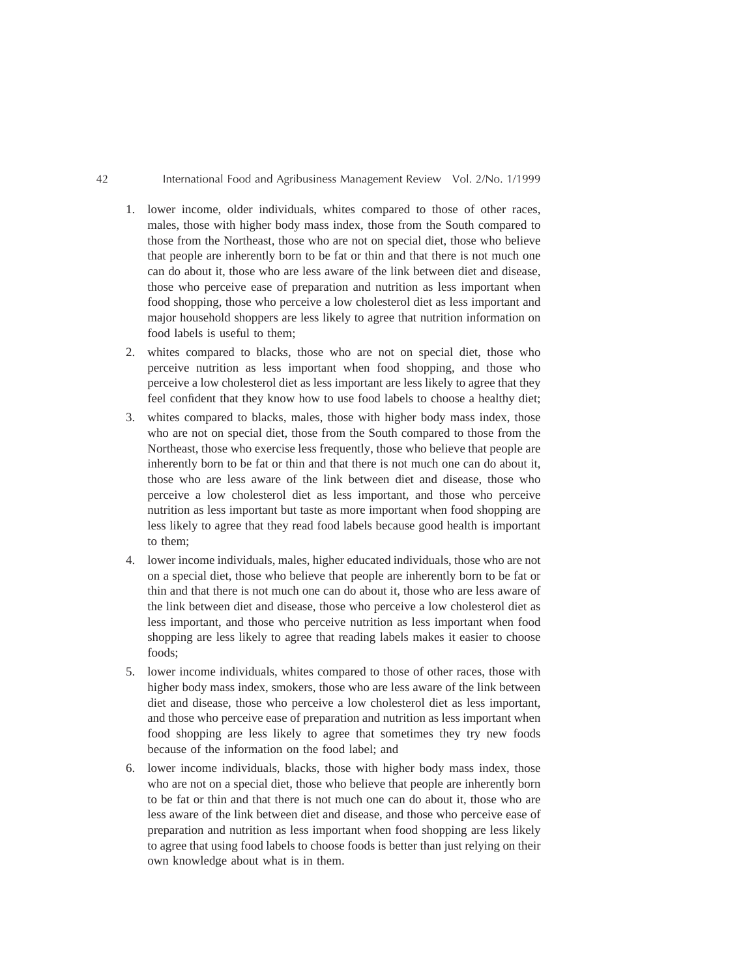- 1. lower income, older individuals, whites compared to those of other races, males, those with higher body mass index, those from the South compared to those from the Northeast, those who are not on special diet, those who believe that people are inherently born to be fat or thin and that there is not much one can do about it, those who are less aware of the link between diet and disease, those who perceive ease of preparation and nutrition as less important when food shopping, those who perceive a low cholesterol diet as less important and major household shoppers are less likely to agree that nutrition information on food labels is useful to them;
- 2. whites compared to blacks, those who are not on special diet, those who perceive nutrition as less important when food shopping, and those who perceive a low cholesterol diet as less important are less likely to agree that they feel confident that they know how to use food labels to choose a healthy diet;
- 3. whites compared to blacks, males, those with higher body mass index, those who are not on special diet, those from the South compared to those from the Northeast, those who exercise less frequently, those who believe that people are inherently born to be fat or thin and that there is not much one can do about it, those who are less aware of the link between diet and disease, those who perceive a low cholesterol diet as less important, and those who perceive nutrition as less important but taste as more important when food shopping are less likely to agree that they read food labels because good health is important to them;
- 4. lower income individuals, males, higher educated individuals, those who are not on a special diet, those who believe that people are inherently born to be fat or thin and that there is not much one can do about it, those who are less aware of the link between diet and disease, those who perceive a low cholesterol diet as less important, and those who perceive nutrition as less important when food shopping are less likely to agree that reading labels makes it easier to choose foods;
- 5. lower income individuals, whites compared to those of other races, those with higher body mass index, smokers, those who are less aware of the link between diet and disease, those who perceive a low cholesterol diet as less important, and those who perceive ease of preparation and nutrition as less important when food shopping are less likely to agree that sometimes they try new foods because of the information on the food label; and
- 6. lower income individuals, blacks, those with higher body mass index, those who are not on a special diet, those who believe that people are inherently born to be fat or thin and that there is not much one can do about it, those who are less aware of the link between diet and disease, and those who perceive ease of preparation and nutrition as less important when food shopping are less likely to agree that using food labels to choose foods is better than just relying on their own knowledge about what is in them.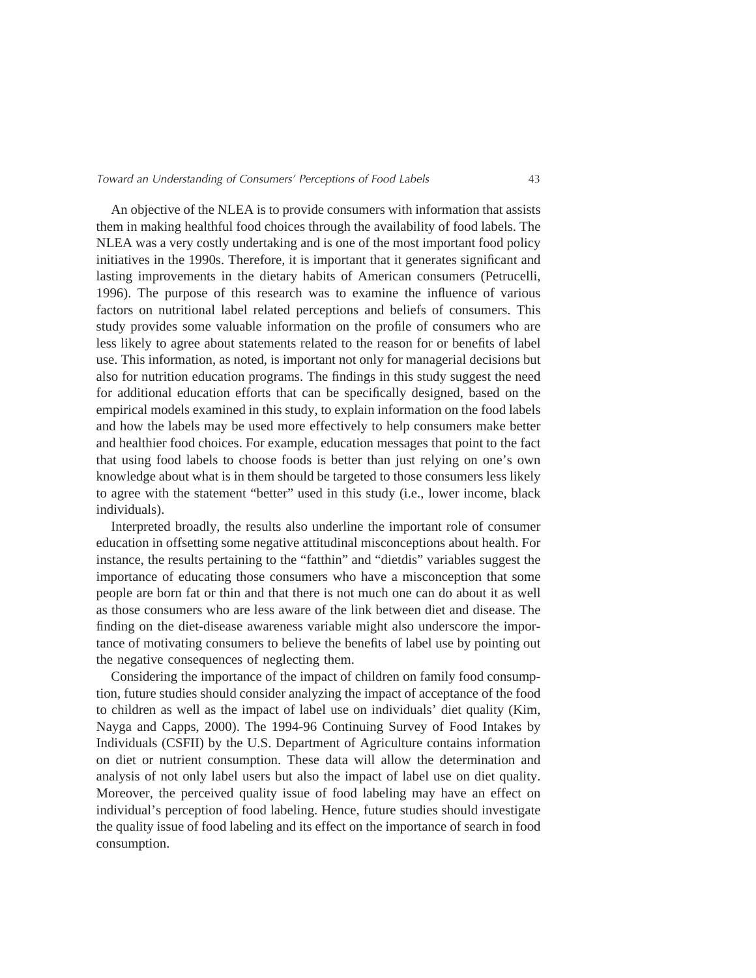An objective of the NLEA is to provide consumers with information that assists them in making healthful food choices through the availability of food labels. The NLEA was a very costly undertaking and is one of the most important food policy initiatives in the 1990s. Therefore, it is important that it generates significant and lasting improvements in the dietary habits of American consumers (Petrucelli, 1996). The purpose of this research was to examine the influence of various factors on nutritional label related perceptions and beliefs of consumers. This study provides some valuable information on the profile of consumers who are less likely to agree about statements related to the reason for or benefits of label use. This information, as noted, is important not only for managerial decisions but also for nutrition education programs. The findings in this study suggest the need for additional education efforts that can be specifically designed, based on the empirical models examined in this study, to explain information on the food labels and how the labels may be used more effectively to help consumers make better and healthier food choices. For example, education messages that point to the fact that using food labels to choose foods is better than just relying on one's own knowledge about what is in them should be targeted to those consumers less likely to agree with the statement "better" used in this study (i.e., lower income, black individuals).

Interpreted broadly, the results also underline the important role of consumer education in offsetting some negative attitudinal misconceptions about health. For instance, the results pertaining to the "fatthin" and "dietdis" variables suggest the importance of educating those consumers who have a misconception that some people are born fat or thin and that there is not much one can do about it as well as those consumers who are less aware of the link between diet and disease. The finding on the diet-disease awareness variable might also underscore the importance of motivating consumers to believe the benefits of label use by pointing out the negative consequences of neglecting them.

Considering the importance of the impact of children on family food consumption, future studies should consider analyzing the impact of acceptance of the food to children as well as the impact of label use on individuals' diet quality (Kim, Nayga and Capps, 2000). The 1994-96 Continuing Survey of Food Intakes by Individuals (CSFII) by the U.S. Department of Agriculture contains information on diet or nutrient consumption. These data will allow the determination and analysis of not only label users but also the impact of label use on diet quality. Moreover, the perceived quality issue of food labeling may have an effect on individual's perception of food labeling. Hence, future studies should investigate the quality issue of food labeling and its effect on the importance of search in food consumption.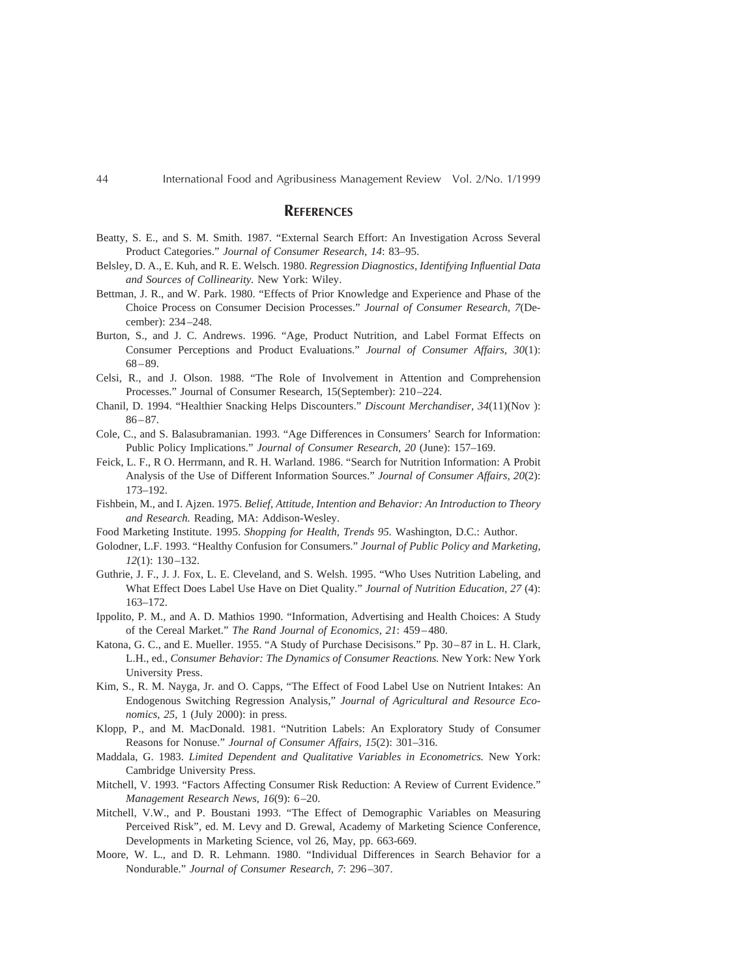### **REFERENCES**

- Beatty, S. E., and S. M. Smith. 1987. "External Search Effort: An Investigation Across Several Product Categories." *Journal of Consumer Research, 14*: 83–95.
- Belsley, D. A., E. Kuh, and R. E. Welsch. 1980. *Regression Diagnostics, Identifying Influential Data and Sources of Collinearity.* New York: Wiley.
- Bettman, J. R., and W. Park. 1980. "Effects of Prior Knowledge and Experience and Phase of the Choice Process on Consumer Decision Processes." *Journal of Consumer Research, 7*(December): 234–248.
- Burton, S., and J. C. Andrews. 1996. "Age, Product Nutrition, and Label Format Effects on Consumer Perceptions and Product Evaluations." *Journal of Consumer Affairs, 30*(1): 68–89.
- Celsi, R., and J. Olson. 1988. "The Role of Involvement in Attention and Comprehension Processes." Journal of Consumer Research, 15(September): 210–224.
- Chanil, D. 1994. "Healthier Snacking Helps Discounters." *Discount Merchandiser, 34*(11)(Nov ): 86–87.
- Cole, C., and S. Balasubramanian. 1993. "Age Differences in Consumers' Search for Information: Public Policy Implications." *Journal of Consumer Research, 20* (June): 157–169.
- Feick, L. F., R O. Herrmann, and R. H. Warland. 1986. "Search for Nutrition Information: A Probit Analysis of the Use of Different Information Sources." *Journal of Consumer Affairs, 20*(2): 173–192.
- Fishbein, M., and I. Ajzen. 1975. *Belief, Attitude, Intention and Behavior: An Introduction to Theory and Research.* Reading, MA: Addison-Wesley.
- Food Marketing Institute. 1995. *Shopping for Health, Trends 95.* Washington, D.C.: Author.
- Golodner, L.F. 1993. "Healthy Confusion for Consumers." *Journal of Public Policy and Marketing, 12*(1): 130–132.
- Guthrie, J. F., J. J. Fox, L. E. Cleveland, and S. Welsh. 1995. "Who Uses Nutrition Labeling, and What Effect Does Label Use Have on Diet Quality." *Journal of Nutrition Education, 27* (4): 163–172.
- Ippolito, P. M., and A. D. Mathios 1990. "Information, Advertising and Health Choices: A Study of the Cereal Market." *The Rand Journal of Economics, 21*: 459–480.
- Katona, G. C., and E. Mueller. 1955. "A Study of Purchase Decisisons." Pp. 30–87 in L. H. Clark, L.H., ed., *Consumer Behavior: The Dynamics of Consumer Reactions.* New York: New York University Press.
- Kim, S., R. M. Nayga, Jr. and O. Capps, "The Effect of Food Label Use on Nutrient Intakes: An Endogenous Switching Regression Analysis," *Journal of Agricultural and Resource Economics, 25,* 1 (July 2000): in press.
- Klopp, P., and M. MacDonald. 1981. "Nutrition Labels: An Exploratory Study of Consumer Reasons for Nonuse." *Journal of Consumer Affairs, 15*(2): 301–316.
- Maddala, G. 1983. *Limited Dependent and Qualitative Variables in Econometrics.* New York: Cambridge University Press.
- Mitchell, V. 1993. "Factors Affecting Consumer Risk Reduction: A Review of Current Evidence." *Management Research News, 16*(9): 6–20.
- Mitchell, V.W., and P. Boustani 1993. "The Effect of Demographic Variables on Measuring Perceived Risk", ed. M. Levy and D. Grewal, Academy of Marketing Science Conference, Developments in Marketing Science, vol 26, May, pp. 663-669.
- Moore, W. L., and D. R. Lehmann. 1980. "Individual Differences in Search Behavior for a Nondurable." *Journal of Consumer Research, 7*: 296–307.